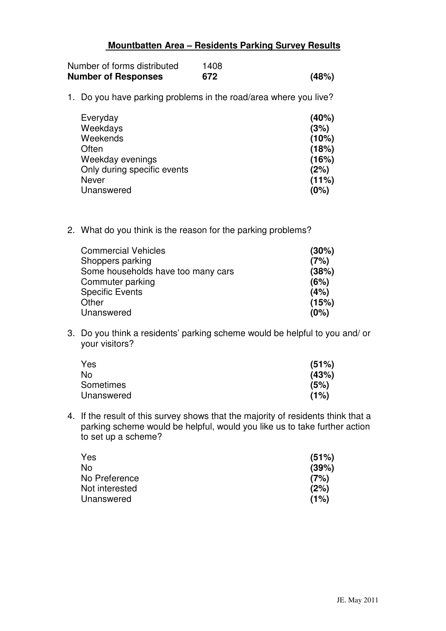## **Mountbatten Area – Residents Parking Survey Results**

| Number of forms distributed | 1408 |       |
|-----------------------------|------|-------|
| <b>Number of Responses</b>  | 672  | (48%) |

1. Do you have parking problems in the road/area where you live?

| Everyday                    | (40%) |
|-----------------------------|-------|
| Weekdays                    | (3%)  |
| Weekends                    | (10%) |
| Often                       | (18%) |
| Weekday evenings            | (16%) |
| Only during specific events | (2%)  |
| <b>Never</b>                | (11%) |
| Unanswered                  | (0%)  |

2. What do you think is the reason for the parking problems?

| (30%) |
|-------|
| (7%)  |
| (38%) |
| (6%)  |
| (4%)  |
| (15%) |
| (0%)  |
|       |

3. Do you think a residents' parking scheme would be helpful to you and/ or your visitors?

| Yes        | (51%) |
|------------|-------|
| No         | (43%) |
| Sometimes  | (5%)  |
| Unanswered | (1%)  |

4. If the result of this survey shows that the majority of residents think that a parking scheme would be helpful, would you like us to take further action to set up a scheme?

| Yes            | (51%) |
|----------------|-------|
| No             | (39%) |
| No Preference  | (7%)  |
| Not interested | (2%)  |
| Unanswered     | (1%)  |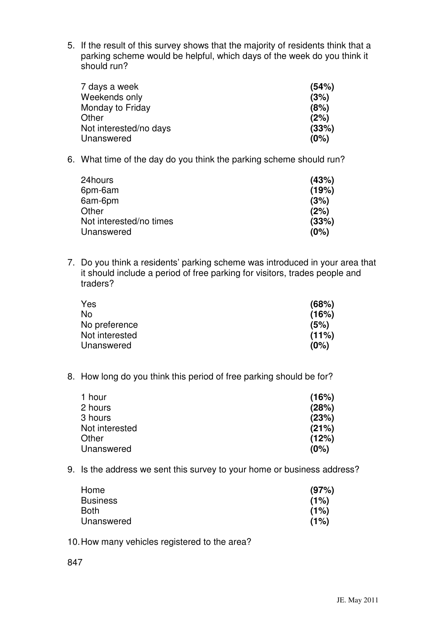5. If the result of this survey shows that the majority of residents think that a parking scheme would be helpful, which days of the week do you think it should run?

| 7 days a week          | (54%) |
|------------------------|-------|
| Weekends only          | (3%)  |
| Monday to Friday       | (8%)  |
| Other                  | (2%)  |
| Not interested/no days | (33%) |
| Unanswered             | (0%)  |

6. What time of the day do you think the parking scheme should run?

| (43%) |
|-------|
| (19%) |
| (3%)  |
| (2%)  |
| (33%) |
| (0%)  |
|       |

7. Do you think a residents' parking scheme was introduced in your area that it should include a period of free parking for visitors, trades people and traders?

| (68%)    |
|----------|
| (16%)    |
| (5%)     |
| $(11\%)$ |
| (0%)     |
|          |

8. How long do you think this period of free parking should be for?

| 1 hour         | (16%) |
|----------------|-------|
| 2 hours        | (28%) |
| 3 hours        | (23%) |
| Not interested | (21%) |
| Other          | (12%) |
| Unanswered     | (0%)  |

9. Is the address we sent this survey to your home or business address?

| Home            | (97%) |
|-----------------|-------|
| <b>Business</b> | (1%)  |
| Both            | (1%)  |
| Unanswered      | (1%)  |

10. How many vehicles registered to the area?

847